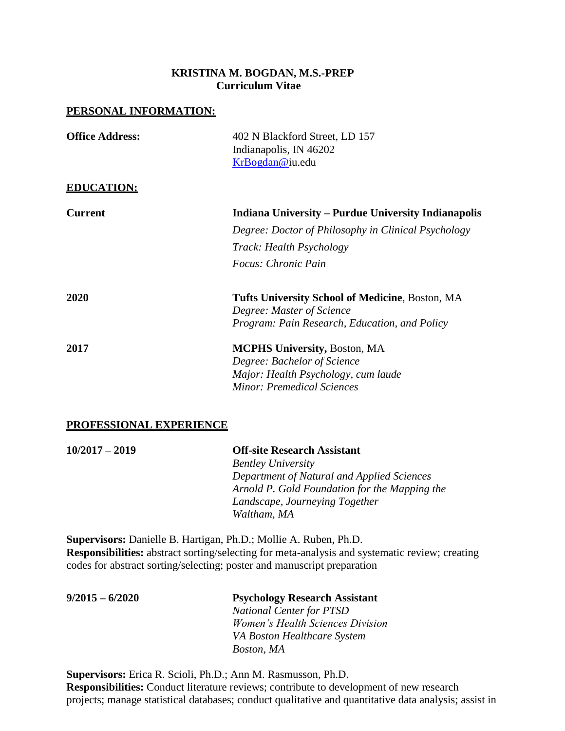## **KRISTINA M. BOGDAN, M.S.-PREP Curriculum Vitae**

#### **PERSONAL INFORMATION:**

| <b>Office Address:</b> | 402 N Blackford Street, LD 157<br>Indianapolis, IN 46202 |
|------------------------|----------------------------------------------------------|
|                        | KrBogdan@iu.edu                                          |
| <b>EDUCATION:</b>      |                                                          |
| <b>Current</b>         | Indiana University – Purdue University Indianapolis      |
|                        | Degree: Doctor of Philosophy in Clinical Psychology      |
|                        | <i>Track: Health Psychology</i>                          |
|                        | Focus: Chronic Pain                                      |
| 2020                   | <b>Tufts University School of Medicine, Boston, MA</b>   |
|                        | Degree: Master of Science                                |
|                        | Program: Pain Research, Education, and Policy            |
| 2017                   | <b>MCPHS University, Boston, MA</b>                      |
|                        | Degree: Bachelor of Science                              |
|                        | Major: Health Psychology, cum laude                      |
|                        | <b>Minor: Premedical Sciences</b>                        |

#### **PROFESSIONAL EXPERIENCE**

| $10/2017 - 2019$ | <b>Off-site Research Assistant</b>            |
|------------------|-----------------------------------------------|
|                  | <b>Bentley University</b>                     |
|                  | Department of Natural and Applied Sciences    |
|                  | Arnold P. Gold Foundation for the Mapping the |
|                  | Landscape, Journeying Together                |
|                  | Waltham, MA                                   |

**Supervisors:** Danielle B. Hartigan, Ph.D.; Mollie A. Ruben, Ph.D. **Responsibilities:** abstract sorting/selecting for meta-analysis and systematic review; creating codes for abstract sorting/selecting; poster and manuscript preparation

**9/2015 – 6/2020 Psychology Research Assistant**  *National Center for PTSD Women's Health Sciences Division VA Boston Healthcare System Boston, MA*

**Supervisors:** Erica R. Scioli, Ph.D.; Ann M. Rasmusson, Ph.D. **Responsibilities:** Conduct literature reviews; contribute to development of new research projects; manage statistical databases; conduct qualitative and quantitative data analysis; assist in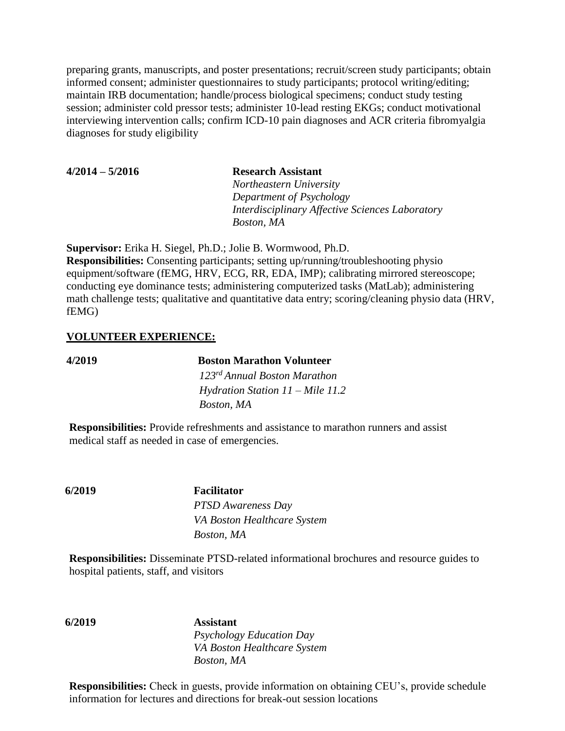preparing grants, manuscripts, and poster presentations; recruit/screen study participants; obtain informed consent; administer questionnaires to study participants; protocol writing/editing; maintain IRB documentation; handle/process biological specimens; conduct study testing session; administer cold pressor tests; administer 10-lead resting EKGs; conduct motivational interviewing intervention calls; confirm ICD-10 pain diagnoses and ACR criteria fibromyalgia diagnoses for study eligibility

| $4/2014 - 5/2016$ | <b>Research Assistant</b>                       |
|-------------------|-------------------------------------------------|
|                   | Northeastern University                         |
|                   | Department of Psychology                        |
|                   | Interdisciplinary Affective Sciences Laboratory |
|                   | Boston, MA                                      |

**Supervisor:** Erika H. Siegel, Ph.D.; Jolie B. Wormwood, Ph.D. **Responsibilities:** Consenting participants; setting up/running/troubleshooting physio equipment/software (fEMG, HRV, ECG, RR, EDA, IMP); calibrating mirrored stereoscope; conducting eye dominance tests; administering computerized tasks (MatLab); administering math challenge tests; qualitative and quantitative data entry; scoring/cleaning physio data (HRV, fEMG)

#### **VOLUNTEER EXPERIENCE:**

**4/2019 Boston Marathon Volunteer**  *123rd Annual Boston Marathon Hydration Station 11 – Mile 11.2 Boston, MA*

**Responsibilities:** Provide refreshments and assistance to marathon runners and assist medical staff as needed in case of emergencies.

**6/2019 Facilitator** *PTSD Awareness Day VA Boston Healthcare System Boston, MA*

**Responsibilities:** Disseminate PTSD-related informational brochures and resource guides to hospital patients, staff, and visitors

**6/2019 Assistant** *Psychology Education Day VA Boston Healthcare System Boston, MA*

**Responsibilities:** Check in guests, provide information on obtaining CEU's, provide schedule information for lectures and directions for break-out session locations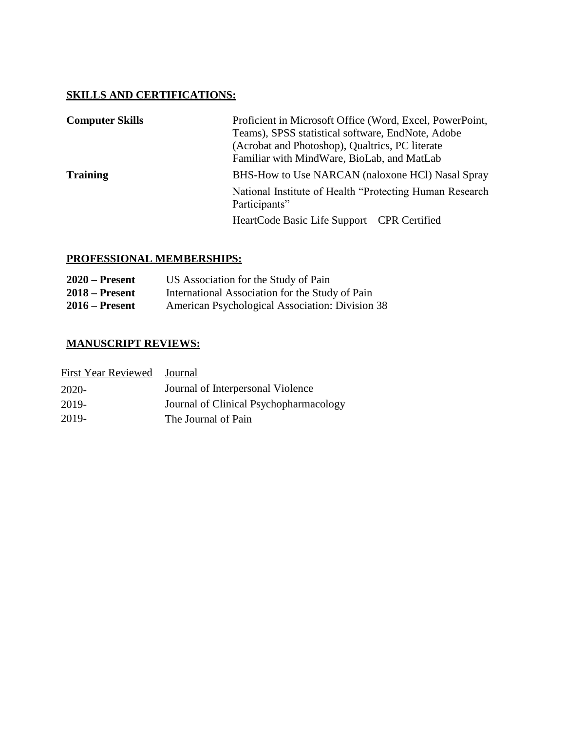# **SKILLS AND CERTIFICATIONS:**

| <b>Computer Skills</b> | Proficient in Microsoft Office (Word, Excel, PowerPoint,<br>Teams), SPSS statistical software, EndNote, Adobe<br>(Acrobat and Photoshop), Qualtrics, PC literate<br>Familiar with MindWare, BioLab, and MatLab |
|------------------------|----------------------------------------------------------------------------------------------------------------------------------------------------------------------------------------------------------------|
| <b>Training</b>        | BHS-How to Use NARCAN (naloxone HCl) Nasal Spray                                                                                                                                                               |
|                        | National Institute of Health "Protecting Human Research"<br>Participants"                                                                                                                                      |
|                        | HeartCode Basic Life Support – CPR Certified                                                                                                                                                                   |

# **PROFESSIONAL MEMBERSHIPS:**

| $2020$ – Present | US Association for the Study of Pain            |
|------------------|-------------------------------------------------|
| $2018 -$ Present | International Association for the Study of Pain |
| $2016$ – Present | American Psychological Association: Division 38 |

# **MANUSCRIPT REVIEWS:**

| <b>First Year Reviewed</b> | Journal                                |
|----------------------------|----------------------------------------|
| 2020-                      | Journal of Interpersonal Violence      |
| 2019-                      | Journal of Clinical Psychopharmacology |
| 2019-                      | The Journal of Pain                    |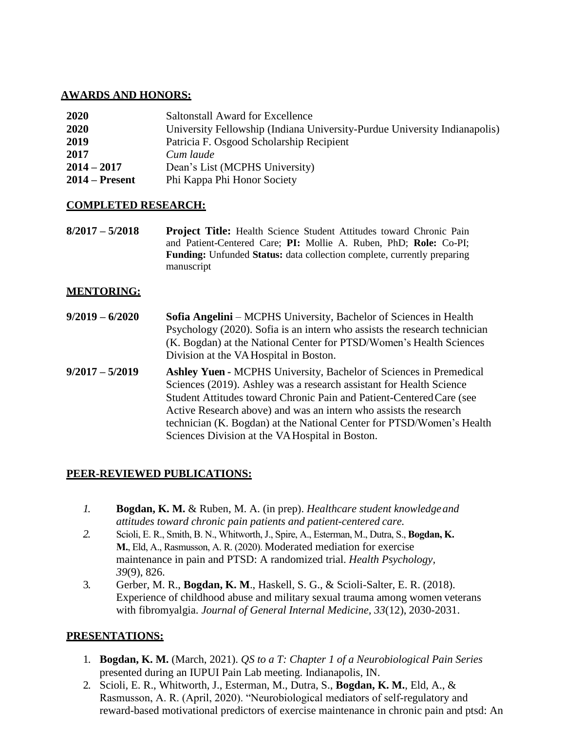## **AWARDS AND HONORS:**

| 2020             | Saltonstall Award for Excellence                                          |
|------------------|---------------------------------------------------------------------------|
| 2020             | University Fellowship (Indiana University-Purdue University Indianapolis) |
| 2019             | Patricia F. Osgood Scholarship Recipient                                  |
| 2017             | Cum laude                                                                 |
| $2014 - 2017$    | Dean's List (MCPHS University)                                            |
| $2014 -$ Present | Phi Kappa Phi Honor Society                                               |

## **COMPLETED RESEARCH:**

**8/2017 – 5/2018 Project Title:** Health Science Student Attitudes toward Chronic Pain and Patient-Centered Care; **PI:** Mollie A. Ruben, PhD; **Role:** Co-PI; **Funding:** Unfunded **Status:** data collection complete, currently preparing manuscript

## **MENTORING:**

- **9/2019 – 6/2020 Sofia Angelini** MCPHS University, Bachelor of Sciences in Health Psychology (2020). Sofia is an intern who assists the research technician (K. Bogdan) at the National Center for PTSD/Women's Health Sciences Division at the VA Hospital in Boston.
- **9/2017 – 5/2019 Ashley Yuen -** MCPHS University, Bachelor of Sciences in Premedical Sciences (2019). Ashley was a research assistant for Health Science Student Attitudes toward Chronic Pain and Patient-CenteredCare (see Active Research above) and was an intern who assists the research technician (K. Bogdan) at the National Center for PTSD/Women's Health Sciences Division at the VA Hospital in Boston.

## **PEER-REVIEWED PUBLICATIONS:**

- *1.* **Bogdan, K. M.** & Ruben, M. A. (in prep). *Healthcare student knowledgeand attitudes toward chronic pain patients and patient-centered care.*
- *2.* Scioli, E. R., Smith, B. N., Whitworth, J., Spire, A., Esterman, M., Dutra, S., **Bogdan, K. M.**, Eld, A., Rasmusson, A. R. (2020). Moderated mediation for exercise maintenance in pain and PTSD: A randomized trial. *Health Psychology, 39*(9), 826.
- 3. Gerber, M. R., **Bogdan, K. M**., Haskell, S. G., & Scioli-Salter, E. R. (2018). Experience of childhood abuse and military sexual trauma among women veterans with fibromyalgia. *Journal of General Internal Medicine, 33*(12), 2030-2031.

## **PRESENTATIONS:**

- 1. **Bogdan, K. M.** (March, 2021). *QS to a T: Chapter 1 of a Neurobiological Pain Series* presented during an IUPUI Pain Lab meeting. Indianapolis, IN.
- 2. Scioli, E. R., Whitworth, J., Esterman, M., Dutra, S., **Bogdan, K. M.**, Eld, A., & Rasmusson, A. R. (April, 2020). "Neurobiological mediators of self-regulatory and reward-based motivational predictors of exercise maintenance in chronic pain and ptsd: An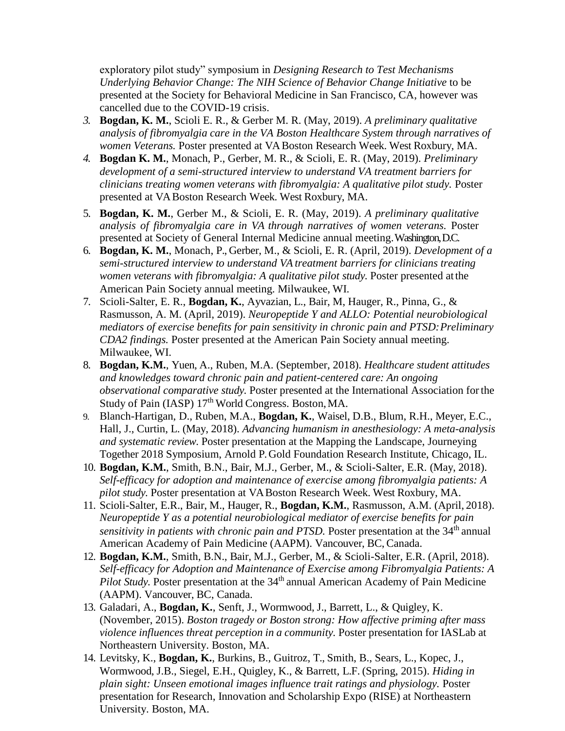exploratory pilot study" symposium in *Designing Research to Test Mechanisms Underlying Behavior Change: The NIH Science of Behavior Change Initiative* to be presented at the Society for Behavioral Medicine in San Francisco, CA, however was cancelled due to the COVID-19 crisis.

- *3.* **Bogdan, K. M.**, Scioli E. R., & Gerber M. R. (May, 2019). *A preliminary qualitative analysis of fibromyalgia care in the VA Boston Healthcare System through narratives of women Veterans.* Poster presented at VA Boston Research Week. West Roxbury, MA.
- *4.* **Bogdan K. M.**, Monach, P., Gerber, M. R., & Scioli, E. R. (May, 2019). *Preliminary development of a semi-structured interview to understand VA treatment barriers for clinicians treating women veterans with fibromyalgia: A qualitative pilot study.* Poster presented at VA Boston Research Week. West Roxbury, MA.
- 5. **Bogdan, K. M.**, Gerber M., & Scioli, E. R. (May, 2019). *A preliminary qualitative analysis of fibromyalgia care in VA through narratives of women veterans.* Poster presented at Society of General Internal Medicine annual meeting.Washington, D.C.
- 6. **Bogdan, K. M.**, Monach, P., Gerber, M., & Scioli, E. R. (April, 2019). *Development of a semi-structured interview to understand VA treatment barriers for clinicians treating women veterans with fibromyalgia: A qualitative pilot study.* Poster presented at the American Pain Society annual meeting. Milwaukee, WI.
- 7. Scioli-Salter, E. R., **Bogdan, K.**, Ayvazian, L., Bair, M, Hauger, R., Pinna, G., & Rasmusson, A. M. (April, 2019). *Neuropeptide Y and ALLO: Potential neurobiological mediators of exercise benefits for pain sensitivity in chronic pain and PTSD:Preliminary CDA2 findings.* Poster presented at the American Pain Society annual meeting. Milwaukee, WI.
- 8. **Bogdan, K.M.**, Yuen, A., Ruben, M.A. (September, 2018). *Healthcare student attitudes and knowledges toward chronic pain and patient-centered care: An ongoing observational comparative study.* Poster presented at the International Association forthe Study of Pain (IASP) 17<sup>th</sup> World Congress. Boston, MA.
- 9. Blanch-Hartigan, D., Ruben, M.A., **Bogdan, K.**, Waisel, D.B., Blum, R.H., Meyer, E.C., Hall, J., Curtin, L. (May, 2018). *Advancing humanism in anesthesiology: A meta-analysis and systematic review.* Poster presentation at the Mapping the Landscape, Journeying Together 2018 Symposium, Arnold P. Gold Foundation Research Institute, Chicago, IL.
- 10. **Bogdan, K.M.**, Smith, B.N., Bair, M.J., Gerber, M., & Scioli-Salter, E.R. (May, 2018). *Self-efficacy for adoption and maintenance of exercise among fibromyalgia patients: A pilot study.* Poster presentation at VA Boston Research Week. West Roxbury, MA.
- 11. Scioli-Salter, E.R., Bair, M., Hauger, R., **Bogdan, K.M.**, Rasmusson, A.M. (April, 2018). *Neuropeptide Y as a potential neurobiological mediator of exercise benefits for pain sensitivity in patients with chronic pain and PTSD.* Poster presentation at the 34<sup>th</sup> annual American Academy of Pain Medicine (AAPM). Vancouver, BC,Canada.
- 12. **Bogdan, K.M.**, Smith, B.N., Bair, M.J., Gerber, M., & Scioli-Salter, E.R. (April, 2018). *Self-efficacy for Adoption and Maintenance of Exercise among Fibromyalgia Patients: A Pilot Study.* Poster presentation at the 34<sup>th</sup> annual American Academy of Pain Medicine (AAPM). Vancouver, BC, Canada.
- 13. Galadari, A., **Bogdan, K.**, Senft, J., Wormwood, J., Barrett, L., & Quigley, K. (November, 2015). *Boston tragedy or Boston strong: How affective priming after mass violence influences threat perception in a community.* Poster presentation for IASLab at Northeastern University. Boston, MA.
- 14. Levitsky, K., **Bogdan, K.**, Burkins, B., Guitroz, T., Smith, B., Sears, L., Kopec, J., Wormwood, J.B., Siegel, E.H., Quigley, K., & Barrett, L.F. (Spring, 2015). *Hiding in plain sight: Unseen emotional images influence trait ratings and physiology.* Poster presentation for Research, Innovation and Scholarship Expo (RISE) at Northeastern University. Boston, MA.